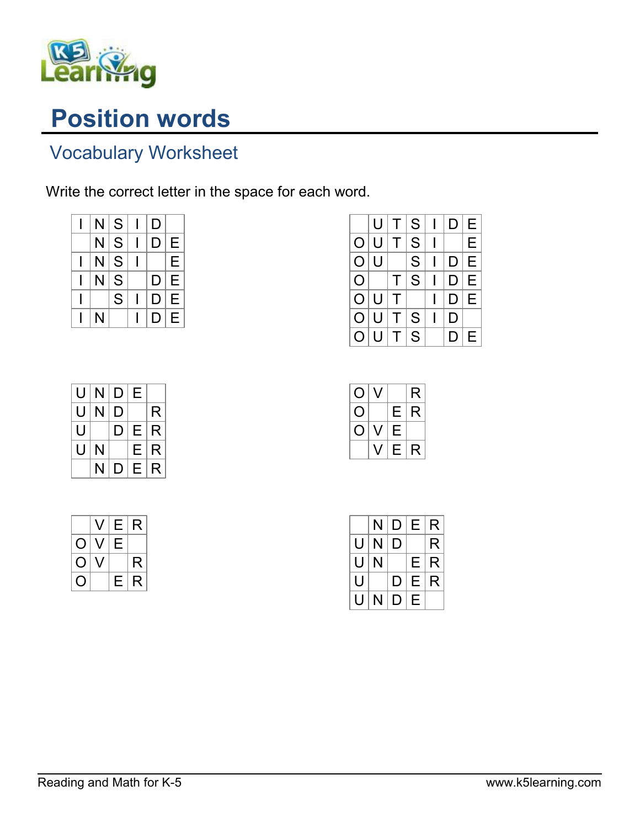

## Position words

## Vocabulary Worksheet

Write the correct letter in the space for each word.

| N | S | D |   |
|---|---|---|---|
| N | S | D | Е |
| N | S |   | Е |
| N | S | D | Е |
|   | S | D | Е |
| N |   | D | Е |

|                | U |   | S | D | E |
|----------------|---|---|---|---|---|
| $\overline{O}$ | U |   | S |   | E |
| $\bigcirc$     | U |   | S | D | E |
| O              |   |   | S | D | E |
| $\overline{O}$ | U |   |   | D | E |
| O              | U | Τ | S | D |   |
| С              |   |   | S |   | E |

| U | N | D | Е |   |
|---|---|---|---|---|
| U | N | D |   | R |
| U |   | D | Е | R |
| U | N |   | Е | R |
|   | N | D | Е | R |

|     | $\sqrt{ }$ | Е  | R |
|-----|------------|----|---|
| O   | J          | Е  |   |
| ( ) |            |    | R |
| ၂   |            | F. | R |

| O          |   |   | R |
|------------|---|---|---|
| Ő          |   | Е | R |
| $\bigcirc$ | J | Ε |   |
|            |   | Е | R |

|   | N | D | Е | R |
|---|---|---|---|---|
| U | N | D |   | R |
| U | N |   | Е | R |
| U |   | D | Е | R |
|   | N | D | Ε |   |